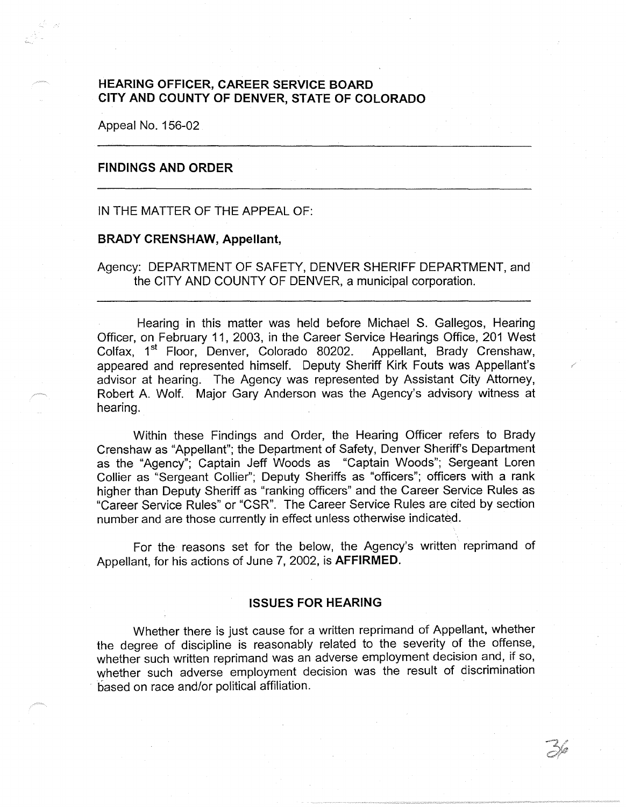# **HEARING OFFICER, CAREER SERVICE BOARD CITY AND COUNTY OF DENVER, STATE OF COLORADO**

Appeal No. 156-02

### **FINDINGS AND ORDER**

IN THE MATTER OF THE APPEAL OF:

#### **BRADY CRENSHAW, Appellant,**

Agency: DEPARTMENT OF SAFETY, DENVER SHERIFF DEPARTMENT, and the CITY AND COUNTY OF DENVER, a municipal corporation.

Hearing in this matter was held before Michael S. Gallegos, Hearing Officer, on February 11, 2003, in the Career Service Hearings Office, 201 West Colfax, 1<sup>st</sup> Floor, Denver, Colorado 80202. Appellant, Brady Crenshaw, appeared and represented himself. Deputy Sheriff Kirk Fouts was Appellant's advisor at hearing. The Agency was represented by Assistant City Attorney, Robert A. Wolf. Major Gary Anderson was the Agency's advisory witness at hearing.

Within these Findings and Order, the Hearing Officer refers to Brady Crenshaw as "Appellant"; the Department of Safety, Denver Sheriffs Department as the "Agency"; Captain Jeff Woods as "Captain Woods"; Sergeant Loren Collier as "Sergeant Collier"; Deputy Sheriffs as "officers"; officers with a rank higher than Deputy Sheriff as "ranking officers" and the Career Service Rules as "Career Service Rules" or "CSR". The Career Service Rules are cited by section number and are those currently in effect unless otherwise indicated.

For the reasons set for the below, the Agency's written reprimand of Appellant, for his actions of June 7, 2002, is **AFFIRMED.** 

#### **ISSUES FOR HEARING**

Whether there is just cause for a written reprimand of Appellant, whether the degree of discipline is reasonably related to the severity of the offense, whether such written reprimand was an adverse employment decision and, if so, whether such adverse employment decision was the result of discrimination based on race and/or political affiliation.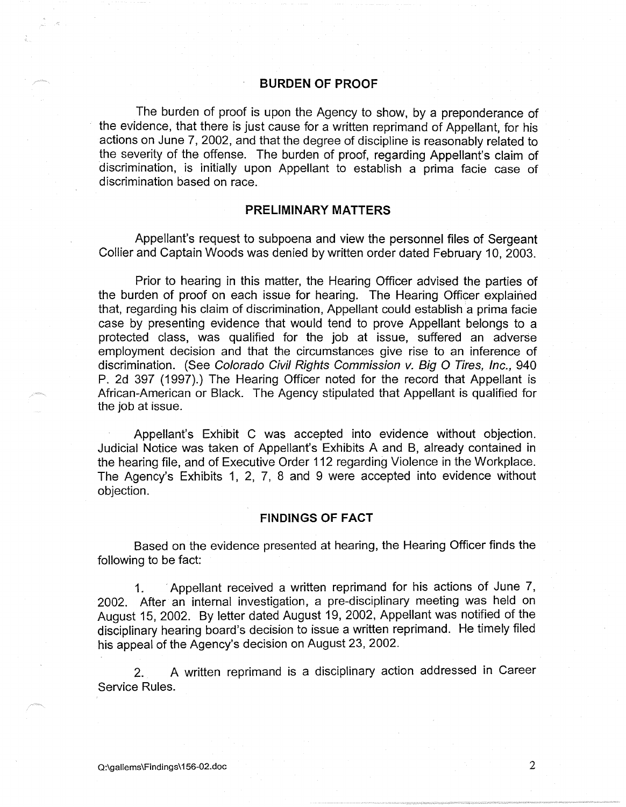### **BURDEN OF PROOF**

The burden of proof is upon the Agency to show, by a preponderance of the evidence, that there is just cause for a written reprimand of Appellant, for his actions on June 7, 2002, and that the degree of discipline is reasonably related to the severity of the offense. The burden of proof, regarding Appellant's claim of discrimination, is initially upon Appellant to establish a prima facie case of discrimination based on race.

### **PRELIMINARY MATTERS**

Appellant's request to subpoena and view the personnel files of Sergeant Collier and Captain Woods was denied by written order dated February 10, 2003.

Prior to hearing in this matter, the Hearing Officer advised the parties of the burden of proof on each issue for hearing. The Hearing Officer explained that, regarding his claim of discrimination, Appellant could establish a prima facie case by presenting evidence that would tend to prove Appellant belongs to a protected class, was qualified for the job at issue, suffered an adverse employment decision and that the circumstances give rise to an inference of discrimination. (See Colorado Civil Rights Commission v. Big O Tires, Inc., 940 P. 2d 397 (1997).) The Hearing Officer noted for the record that Appellant is African-American or Black. The Agency stipulated that Appellant is qualified for the job at issue.

Appellant's Exhibit C was accepted into evidence without objection. Judicial Notice was taken of Appellant's Exhibits A and B, already contained in the hearing file, and of Executive Order 112 regarding Violence in the Workplace. The Agency's Exhibits 1, 2, 7, 8 and 9 were accepted into evidence without objection.

### **FINDINGS OF FACT**

Based on the evidence presented at hearing, the Hearing Officer finds the following to be fact:

1. Appellant received a written reprimand for his actions of June 7, 2002. After an internal investigation, a pre-disciplinary meeting was held on August 15, 2002. By letter dated August 19, 2002, Appellant was notified of the disciplinary hearing board's decision to issue a written reprimand. He timely filed his appeal of the Agency's decision on August 23, 2002.

2. A written reprimand is a disciplinary action addressed in Career Service Rules.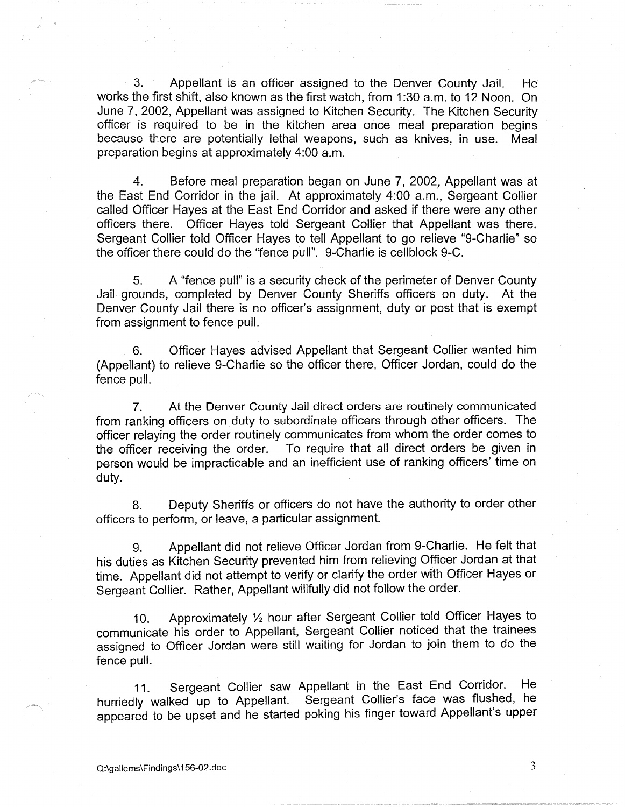3. Appellant is an officer assigned to the Denver County Jail. He works the first shift, also known as the first watch, from 1 :30 a.m. to 12 Noon. On June 7, 2002, Appellant was assigned to Kitchen Security. The Kitchen Security officer is required to be in the kitchen area once meal preparation begins because there are potentially lethal weapons, such as knives, in use. Meal preparation begins at approximately 4:00 a.m.

4. Before meal preparation began on June 7, 2002, Appellant was at the East End Corridor in the jail. At approximately 4:00 a.m., Sergeant Collier called Officer Hayes at the East End Corridor and asked if there were any other officers there. Officer Hayes told Sergeant Collier that Appellant was there. Sergeant Collier told Officer Hayes to tell Appellant to go relieve "9-Charlie" so the officer there could do the "fence pull". 9-Charlie is cellblock 9-C.

5. A "fence pull" is a security check of the perimeter of Denver County Jail grounds, completed by Denver County Sheriffs officers on duty. At the Denver County Jail there is no officer's assignment, duty or post that is exempt from assignment to fence pull.

6. Officer Hayes advised Appellant that Sergeant Collier wanted him (Appellant) to relieve 9-Charlie so the officer there, Officer Jordan, could do the fence pull.

7. At the Denver County Jail direct orders are routinely communicated from ranking officers on duty to subordinate officers through other officers. The officer relaying the order routinely communicates from whom the order comes to the officer receiving the order. To require that all direct orders be given in person would be impracticable and an inefficient use of ranking officers' time on duty.

8. Deputy Sheriffs or officers do not have the authority to order other officers to perform, or leave, a particular assignment.

9. Appellant did not relieve Officer Jordan from 9-Charlie. He felt that his duties as Kitchen Security prevented him from relieving Officer Jordan at that time. Appellant did not attempt to verify or clarify the order with Officer Hayes or Sergeant Collier. Rather, Appellant willfully did not follow the order.

10. Approximately 1/2 hour after Sergeant Collier told Officer Hayes to communicate his order to Appellant, Sergeant Collier noticed that the trainees assigned to Officer Jordan were still waiting for Jordan to join them to do the fence pull.

11. Sergeant Collier saw Appellant in the East End Corridor. He hurriedly walked up to Appellant. Sergeant Collier's face was flushed, he appeared to be upset and he started poking his finger toward Appellant's upper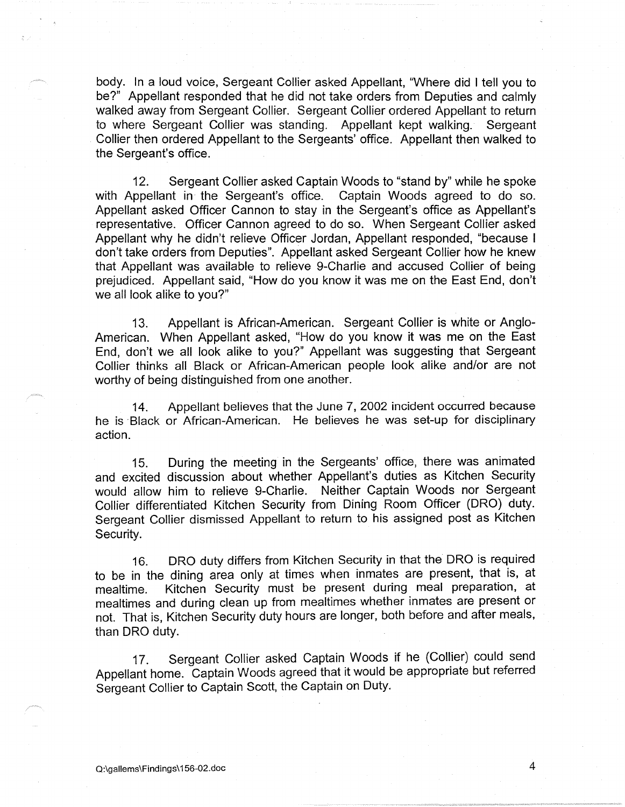body. In a loud voice, Sergeant Collier asked Appellant, "Where did I tell you to be?" Appellant responded that he did not take orders from Deputies and calmly walked away from Sergeant Collier. Sergeant Collier ordered Appellant to return to where Sergeant Collier was standing. Appellant kept walking. Sergeant Collier then ordered Appellant to the Sergeants' office. Appellant then walked to the Sergeant's office.

12. Sergeant Collier asked Captain Woods to "stand by" while he spoke with Appellant in the Sergeant's office. Captain Woods agreed to do so. Appellant asked Officer Cannon to stay in the Sergeant's office as Appellant's representative. Officer Cannon agreed to do so. When Sergeant Collier asked Appellant why he didn't relieve Officer Jordan, Appellant responded, "because I don't take orders from Deputies". Appellant asked Sergeant Collier how he knew that Appellant was available to relieve 9-Charlie and accused Collier of being prejudiced. Appellant said, "How do you know it was me on the East End, don't we all look alike to you?"

13. Appellant is African-American. Sergeant Collier is white or Anglo-American. When Appellant asked, "How do you know it was me on the East End, don't we all look alike to you?" Appellant was suggesting that Sergeant Collier thinks all Black or African-American people look alike and/or are not worthy of being distinguished from one another.

14. Appellant believes that the June 7, 2002 incident occurred because he is Black or African-American. He believes he was set-up for disciplinary action.

15. During the meeting in the Sergeants' office, there was animated and excited discussion about whether Appellant's duties as Kitchen Security would allow him to relieve 9-Charlie. Neither Captain Woods nor Sergeant Collier differentiated Kitchen Security from Dining Room Officer (ORO) duty. Sergeant Collier dismissed Appellant to return to his assigned post as Kitchen Security.

16. ORO duty differs from Kitchen Security in that the ORO is required to be in the dining area only at times when inmates are present, that is, at mealtime. Kitchen Security must be present during meal preparation, at mealtimes and during clean up from mealtimes whether inmates are present or not. That is, Kitchen Security duty hours are longer, both before and after meals, than ORO duty.

17. Sergeant Collier asked Captain Woods if he (Collier) could send Appellant home. Captain Woods agreed that it would be appropriate but referred Sergeant Collier to Captain Scott, the Captain on Duty.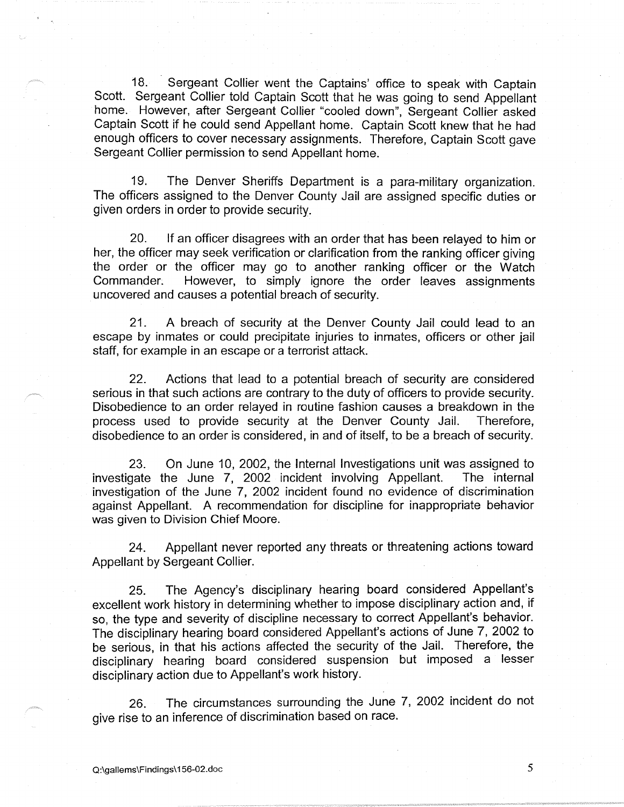18. Sergeant Collier went the Captains' office to speak with Captain Scott. Sergeant Collier told Captain Scott that he was going to send Appellant home. However, after Sergeant Collier "cooled down", Sergeant Collier asked Captain Scott if he could send Appellant home. Captain Scott knew that he had enough officers to cover necessary assignments. Therefore, Captain Scott gave Sergeant Collier permission to send Appellant home.

19. The Denver Sheriffs Department is a para-military organization. The officers assigned to the Denver County Jail are assigned specific duties or given orders in order to provide security.

20. If an officer disagrees with an order that has been relayed to him or her, the officer may seek verification or clarification from the ranking officer giving the order or the officer may go to another ranking officer or the Watch Commander. However, to simply ignore the order leaves assignments uncovered and causes a potential breach of security.

21. A breach of security at the Denver County Jail could lead to an escape by inmates or could precipitate injuries to inmates, officers or other jail staff, for example in an escape or a terrorist attack.

22. Actions that lead to a potential breach of security are considered serious in that such actions are contrary to the duty of officers to provide security. Disobedience to an order relayed in routine fashion causes a breakdown in the process used to provide security at the Denver County Jail. Therefore, disobedience to an order is considered, in and of itself, to be a breach of security.

23. On June 10, 2002, the Internal Investigations unit was assigned to investigate the June 7, 2002 incident involving Appellant. The internal investigation of the June 7, 2002 incident found no evidence of discrimination against Appellant. A recommendation for discipline for inappropriate behavior was given to Division Chief Moore.

24. Appellant never reported any threats or threatening actions toward Appellant by Sergeant Collier.

25. The Agency's disciplinary hearing board considered Appellant's excellent work history in determining whether to impose disciplinary action and, if so, the type and severity of discipline necessary to correct Appellant's behavior. The disciplinary hearing board considered Appellant's actions of June 7, 2002 to be serious, in that his actions affected the security of the Jail. Therefore, the disciplinary hearing board considered suspension but imposed a lesser disciplinary action due to Appellant's work history.

26. The circumstances surrounding the June 7, 2002 incident do not give rise to an inference of discrimination based on race.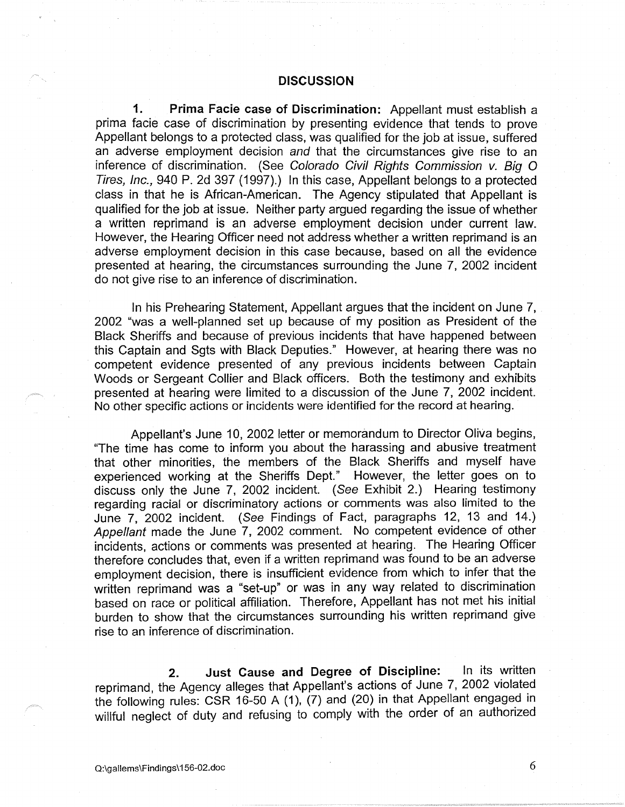#### **DISCUSSION**

**1. Prima Facie case of Discrimination:** Appellant must establish a prima facie case of discrimination by presenting evidence that tends to prove Appellant belongs to a protected class, was qualified for the job at issue, suffered an adverse employment decision and that the circumstances give rise to an inference of discrimination. (See Colorado Civil Rights Commission v. Big O Tires, Inc., 940 P. 2d 397 (1997).) In this case, Appellant belongs to a protected class in that he is African-American. The Agency stipulated that Appellant is qualified for the job at issue. Neither party argued regarding the issue of whether a written reprimand is an adverse employment decision under current law. However, the Hearing Officer need not address whether a written reprimand is an adverse employment decision in this case because, based on all the evidence presented at hearing, the circumstances surrounding the June 7, 2002 incident do not give rise to an inference of discrimination.

In his Prehearing Statement, Appellant argues that the incident on June 7, 2002 "was a well-planned set up because of my position as President of the Black Sheriffs and because of previous incidents that have happened between this Captain and Sgts with Black Deputies." However, at hearing there was no competent evidence presented of any previous incidents between Captain Woods or Sergeant Collier and Black officers. Both the testimony and exhibits presented at hearing were limited to a discussion of the June 7, 2002 incident. No other specific actions or incidents were identified for the record at hearing.

Appellant's June 10, 2002 letter or memorandum to Director Oliva begins, "The time has come to inform you about the harassing and abusive treatment that other minorities, the members of the Black Sheriffs and myself have experienced working at the Sheriffs Dept." However, the letter goes on to discuss only the June 7, 2002 incident. (See Exhibit 2.) Hearing testimony regarding racial or discriminatory actions or comments was also limited to the June 7, 2002 incident. (See Findings of Fact, paragraphs 12, 13 and 14.) Appellant made the June 7, 2002 comment. No competent evidence of other incidents, actions or comments was presented at hearing. The Hearing Officer therefore concludes that, even if a written reprimand was found to be an adverse employment decision, there is insufficient evidence from which to infer that the written reprimand was a "set-up" or was in any way related to discrimination based on race or political affiliation. Therefore, Appellant has not met his initial burden to show that the circumstances surrounding his written reprimand give rise to an inference of discrimination.

**2. Just Cause and Degree of Discipline:** In its written reprimand, the Agency alleges that Appellant's actions of June 7, 2002 violated the following rules: CSR 16-50 A (1), (7) and (20) in that Appellant engaged in willful neglect of duty and refusing to comply with the order of an authorized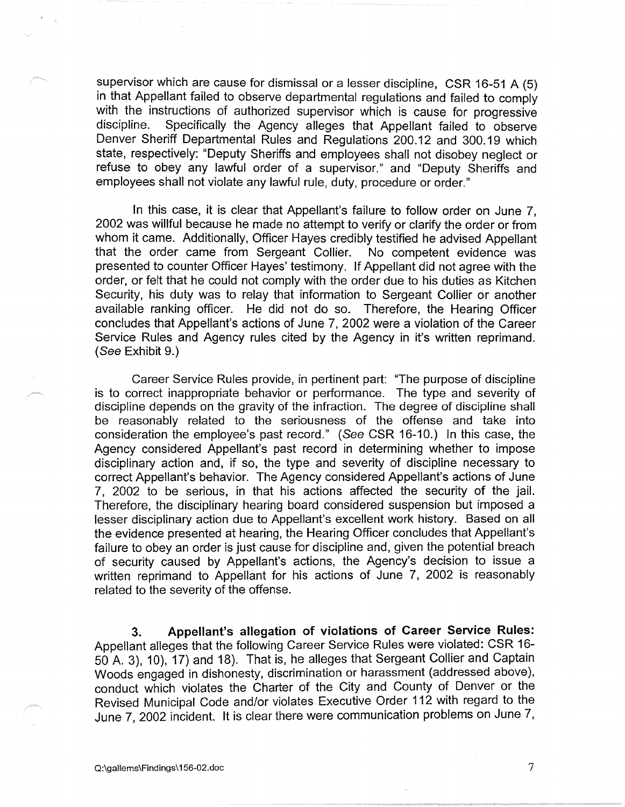supervisor which are cause for dismissal or a lesser discipline, CSR 16-51 A (5) in that Appellant failed to observe departmental regulations and failed to comply with the instructions of authorized supervisor which is cause for progressive<br>discipline. Specifically the Agency alleges that Appellant failed to observe Specifically the Agency alleges that Appellant failed to observe Denver Sheriff Departmental Rules and Regulations 200.12 and 300.19 which state, respectively: "Deputy Sheriffs and employees shall not disobey neglect or refuse to obey any lawful order of a supervisor." and "Deputy Sheriffs and employees shall not violate any lawful rule, duty, procedure or order."

In this case, it is clear that Appellant's failure to follow order on June 7, 2002 was willful because he made no attempt to verify or clarify the order or from whom it came. Additionally, Officer Hayes credibly testified he advised Appellant that the order came from Sergeant Collier. No competent evidence was presented to counter Officer Hayes' testimony. If Appellant did not agree with the order, or felt that he could not comply with the order due to his duties as Kitchen Security, his duty was to relay that information to Sergeant Collier or another available ranking officer. He did not do so. Therefore, the Hearing Officer concludes that Appellant's actions of June 7, 2002 were a violation of the Career Service Rules and Agency rules cited by the Agency in it's written reprimand. (See Exhibit 9.)

Career Service Rules provide, in pertinent part: "The purpose of discipline is to correct inappropriate behavior or performance. The type and severity of discipline depends on the gravity of the infraction. The degree of discipline shall be reasonably related to the seriousness of the offense and take into consideration the employee's past record." (See CSR 16-10.) In this case, the Agency considered Appellant's past record in determining whether to impose disciplinary action and, if so, the type and severity of discipline necessary to correct Appellant's behavior. The Agency considered Appellant's actions of June 7, 2002 to be serious, in that his actions affected the security of the jail. Therefore, the disciplinary hearing board considered suspension but imposed a lesser disciplinary action due to Appellant's excellent work history. Based on all the evidence presented at hearing, the Hearing Officer concludes that Appellant's failure to obey an order is just cause for discipline and, given the potential breach of security caused by Appellant's actions, the Agency's decision to issue a written reprimand to Appellant for his actions of June 7, 2002 is reasonably related to the severity of the offense.

**3. Appellant's allegation of violations of Career Service Rules:**  Appellant alleges that the following Career Service Rules were violated: CSR 16- 50 A. 3), 10), 17) and 18). That is, he alleges that Sergeant Collier and Captain Woods engaged in dishonesty, discrimination or harassment (addressed above), conduct which violates the Charter of the City and County of Denver or the Revised Municipal Code and/or violates Executive Order 112 with regard to the June 7, 2002 incident. It is clear there were communication problems on June 7,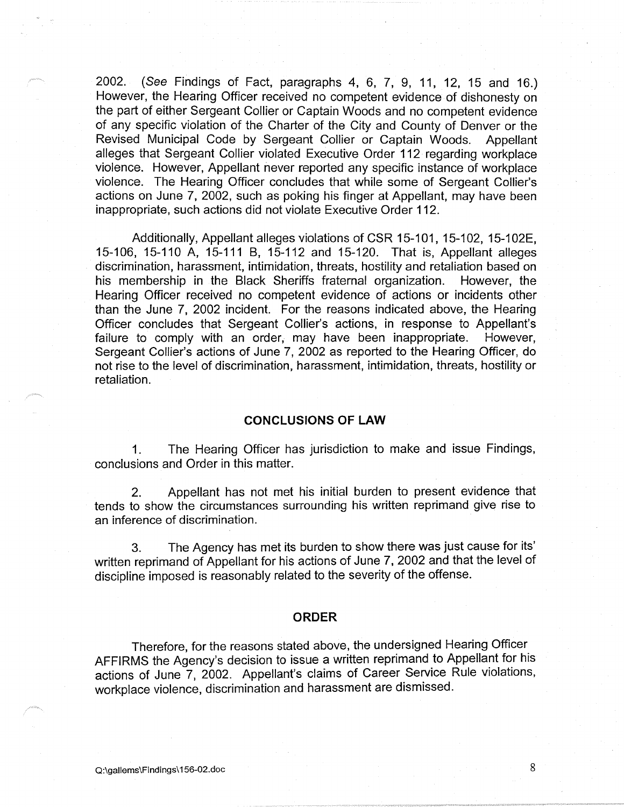2002. (See Findings of Fact, paragraphs 4, 6, 7, 9, 11, 12, 15 and 16.) However, the Hearing Officer received no competent evidence. of dishonesty on the part of either Sergeant Collier or Captain Woods and no competent evidence of any specific violation of the Charter of the City and County of Denver or the Revised Municipal Code by Sergeant Collier or Captain Woods. Appellant alleges that Sergeant Collier violated Executive Order 112 regarding workplace violence. However, Appellant never reported any specific instance of workplace violence. The Hearing Officer concludes that while some of Sergeant Collier's actions on June 7, 2002, such as poking his finger at Appellant, may have been inappropriate, such actions did not violate Executive Order 112.

Additionally, Appellant alleges violations of CSR 15-101, 15-102, 15-102E, 15-106, 15-110 A, 15-111 B, 15-112 and 15-120. That is, Appellant alleges discrimination, harassment, intimidation, threats, hostility and retaliation based on his membership in the Black Sheriffs fraternal organization. However, the Hearing Officer received no competent evidence of actions or incidents other than the June 7, 2002 incident. For the reasons indicated above, the Hearing Officer concludes that Sergeant Collier's actions, in response to Appellant's failure to comply with an order, may have been inappropriate. However, Sergeant Collier's actions of June 7, 2002 as reported to the Hearing Officer, do not rise to the level of discrimination, harassment, intimidation, threats, hostility or retaliation.

### **CONCLUSIONS OF LAW**

1. The Hearing Officer has jurisdiction to make and issue Findings, conclusions and Order in this matter.

2. Appellant has not met his initial burden to present evidence that tends to show the circumstances surrounding his written reprimand give rise to an inference of discrimination.

3. The Agency has met its burden to show there was just cause for its' written reprimand of Appellant for his actions of June 7, 2002 and that the level of discipline imposed is reasonably related to the severity of the offense.

#### **ORDER**

Therefore, for the reasons stated above, the undersigned Hearing Officer AFFIRMS the Agency's decision to issue a written reprimand to Appellant for his actions of June 7, 2002. Appellant's claims of Career Service Rule violations, workplace violence, discrimination and harassment are dismissed.